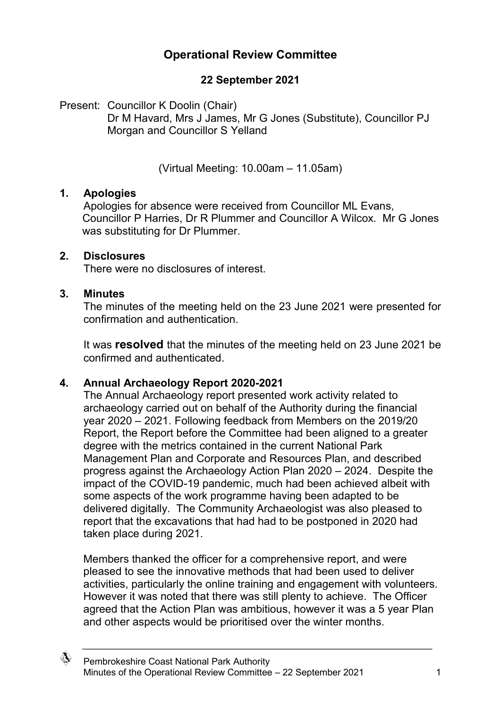# **Operational Review Committee**

## **22 September 2021**

Present: Councillor K Doolin (Chair) Dr M Havard, Mrs J James, Mr G Jones (Substitute), Councillor PJ Morgan and Councillor S Yelland

(Virtual Meeting: 10.00am – 11.05am)

### **1. Apologies**

Apologies for absence were received from Councillor ML Evans, Councillor P Harries, Dr R Plummer and Councillor A Wilcox. Mr G Jones was substituting for Dr Plummer.

#### **2. Disclosures**

There were no disclosures of interest.

### **3. Minutes**

The minutes of the meeting held on the 23 June 2021 were presented for confirmation and authentication.

It was **resolved** that the minutes of the meeting held on 23 June 2021 be confirmed and authenticated.

### **4. Annual Archaeology Report 2020-2021**

The Annual Archaeology report presented work activity related to archaeology carried out on behalf of the Authority during the financial year 2020 – 2021. Following feedback from Members on the 2019/20 Report, the Report before the Committee had been aligned to a greater degree with the metrics contained in the current National Park Management Plan and Corporate and Resources Plan, and described progress against the Archaeology Action Plan 2020 – 2024. Despite the impact of the COVID-19 pandemic, much had been achieved albeit with some aspects of the work programme having been adapted to be delivered digitally. The Community Archaeologist was also pleased to report that the excavations that had had to be postponed in 2020 had taken place during 2021.

Members thanked the officer for a comprehensive report, and were pleased to see the innovative methods that had been used to deliver activities, particularly the online training and engagement with volunteers. However it was noted that there was still plenty to achieve. The Officer agreed that the Action Plan was ambitious, however it was a 5 year Plan and other aspects would be prioritised over the winter months.

 $\_$  , and the set of the set of the set of the set of the set of the set of the set of the set of the set of the set of the set of the set of the set of the set of the set of the set of the set of the set of the set of th

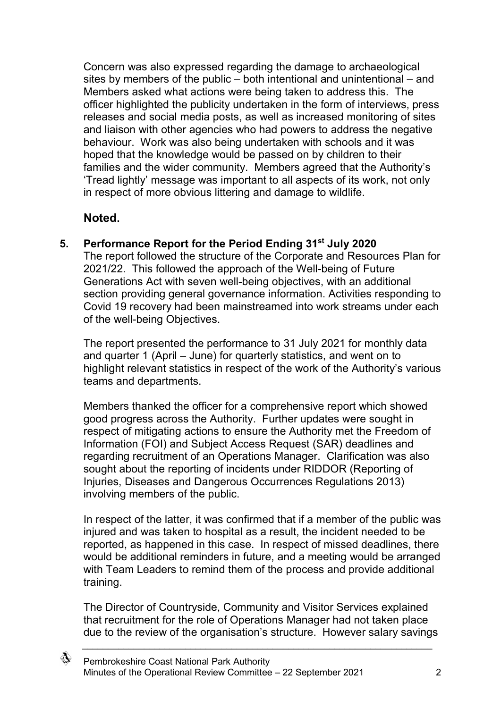Concern was also expressed regarding the damage to archaeological sites by members of the public – both intentional and unintentional – and Members asked what actions were being taken to address this. The officer highlighted the publicity undertaken in the form of interviews, press releases and social media posts, as well as increased monitoring of sites and liaison with other agencies who had powers to address the negative behaviour. Work was also being undertaken with schools and it was hoped that the knowledge would be passed on by children to their families and the wider community. Members agreed that the Authority's 'Tread lightly' message was important to all aspects of its work, not only in respect of more obvious littering and damage to wildlife.

## **Noted.**

### **5. Performance Report for the Period Ending 31st July 2020**

The report followed the structure of the Corporate and Resources Plan for 2021/22. This followed the approach of the Well-being of Future Generations Act with seven well-being objectives, with an additional section providing general governance information. Activities responding to Covid 19 recovery had been mainstreamed into work streams under each of the well-being Objectives.

The report presented the performance to 31 July 2021 for monthly data and quarter 1 (April – June) for quarterly statistics, and went on to highlight relevant statistics in respect of the work of the Authority's various teams and departments.

Members thanked the officer for a comprehensive report which showed good progress across the Authority. Further updates were sought in respect of mitigating actions to ensure the Authority met the Freedom of Information (FOI) and Subject Access Request (SAR) deadlines and regarding recruitment of an Operations Manager. Clarification was also sought about the reporting of incidents under RIDDOR (Reporting of Injuries, Diseases and Dangerous Occurrences Regulations 2013) involving members of the public.

In respect of the latter, it was confirmed that if a member of the public was injured and was taken to hospital as a result, the incident needed to be reported, as happened in this case. In respect of missed deadlines, there would be additional reminders in future, and a meeting would be arranged with Team Leaders to remind them of the process and provide additional training.

The Director of Countryside, Community and Visitor Services explained that recruitment for the role of Operations Manager had not taken place due to the review of the organisation's structure. However salary savings

 $\_$  , and the set of the set of the set of the set of the set of the set of the set of the set of the set of the set of the set of the set of the set of the set of the set of the set of the set of the set of the set of th